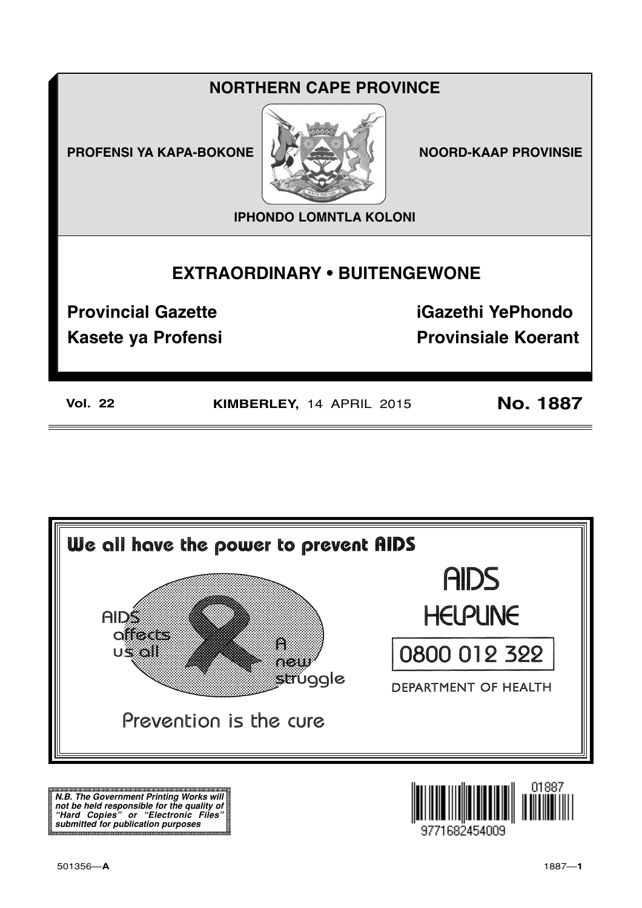## **NORTHERN CAPE PROVINCE**

**PROFENSI YA KAPA-BOKONE** 



**NOORD-KAAP PROVINSIE** 

**IPHONDO LOMNTLA KOLONI** 

# **EXTRAORDINARY . BUITENGEWONE**

**Provincial Gazette** 

**Kasete ya Profensi** 

**iGazethi YePhondo Provinsiale Koerant** 

**Vol. 22** 

KIMBERLEY, 14 APRIL 2015

**No. 1887** 



N.B. The Government Printing Works will iv.b. The Government Printing works will<br>not be held responsible for the quality of<br>"Hard" Copies" or "Electronic Files"<br>submitted for publication purposes

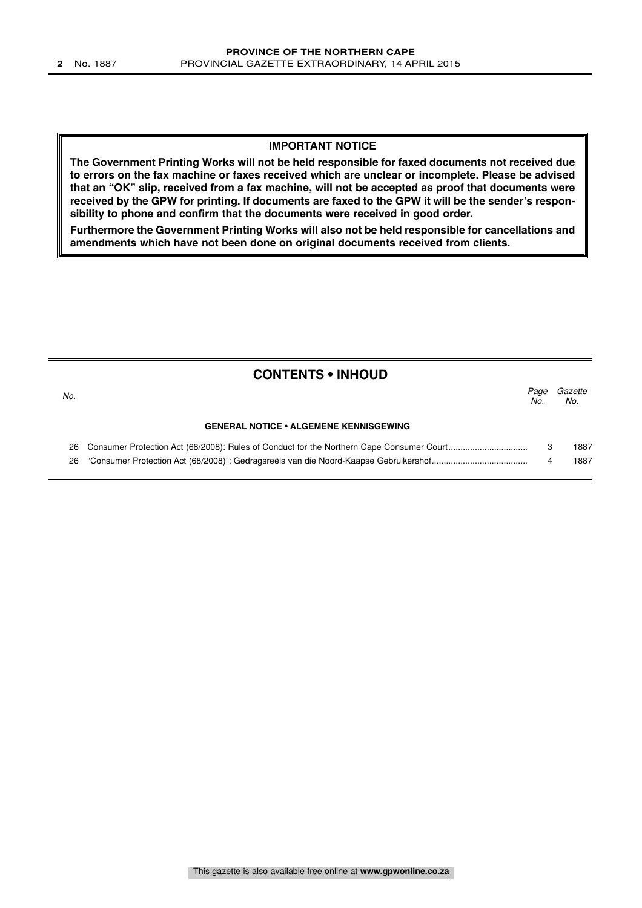#### **IMPORTANT NOTICE**

**The Government Printing Works will not be held responsible for faxed documents not received due to errors on the fax machine or faxes received which are unclear or incomplete. Please be advised that an "OK" slip, received from a fax machine, will not be accepted as proof that documents were received by the GPW for printing. If documents are faxed to the GPW it will be the sender's responsibility to phone and confirm that the documents were received in good order.**

**Furthermore the Government Printing Works will also not be held responsible for cancellations and amendments which have not been done on original documents received from clients.**

| <b>CONTENTS • INHOUD</b> |                                               |             |                |
|--------------------------|-----------------------------------------------|-------------|----------------|
| No.                      |                                               | Page<br>No. | Gazette<br>No. |
|                          | <b>GENERAL NOTICE • ALGEMENE KENNISGEWING</b> |             |                |
|                          |                                               |             | 1887           |
| 26                       |                                               |             | 1887           |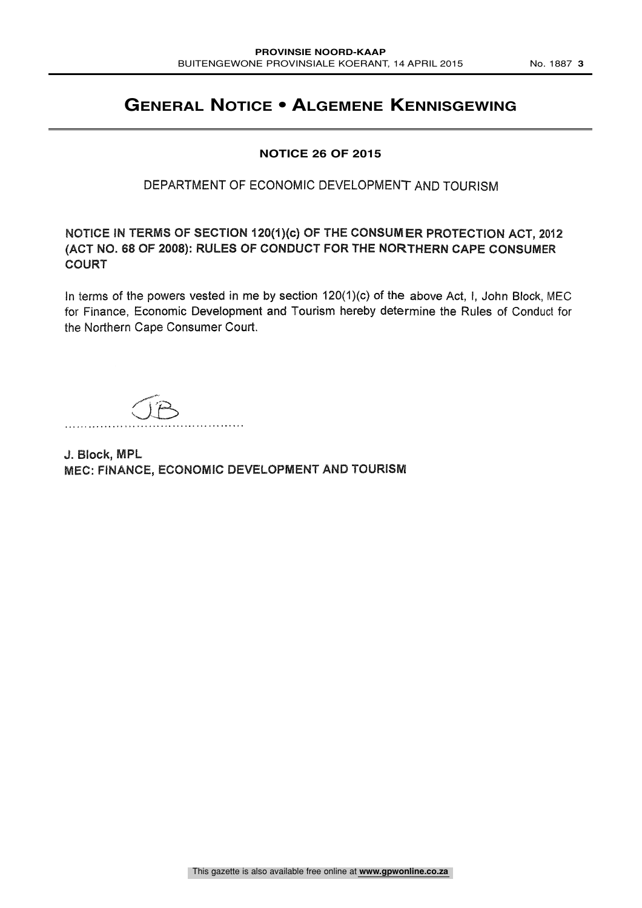### **GENERAL NOTICE • ALGEMENE KENNISGEWING**

#### **NOTICE 26 OF 2015**

### DEPARTMENT OF ECONOMIC DEVELOPMENT AND TOURISM

NOTICE IN TERMS OF SECTION 120(1)(c) OF THE CONSUMER PROTECTION ACT, 2012 (ACT NO. 68 OF 2008): RULES OF CONDUCT FOR THE NORTHERN CAPE CONSUMER COURT

In terms of the powers vested in me by section 120(1)(c) of the above Act, I, John Block, MEC for Finance, Economic Development and Tourism hereby determine the Rules of Conduct for the Northern Cape Consumer Court.

J. Block, MPL MEC: FINANCE, ECONOMIC DEVELOPMENT AND TOURISM